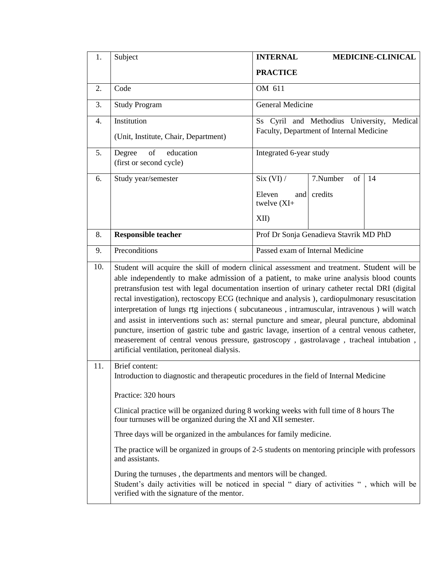| 1.  | Subject                                                                                                                                                                                                                                                                                                                                                                                                                                                                                                                                                                                                                                                                                                                                                                                                                                | <b>INTERNAL</b>                               |                | <b>MEDICINE-CLINICAL</b> |
|-----|----------------------------------------------------------------------------------------------------------------------------------------------------------------------------------------------------------------------------------------------------------------------------------------------------------------------------------------------------------------------------------------------------------------------------------------------------------------------------------------------------------------------------------------------------------------------------------------------------------------------------------------------------------------------------------------------------------------------------------------------------------------------------------------------------------------------------------------|-----------------------------------------------|----------------|--------------------------|
|     |                                                                                                                                                                                                                                                                                                                                                                                                                                                                                                                                                                                                                                                                                                                                                                                                                                        | <b>PRACTICE</b>                               |                |                          |
| 2.  | Code                                                                                                                                                                                                                                                                                                                                                                                                                                                                                                                                                                                                                                                                                                                                                                                                                                   | OM 611                                        |                |                          |
| 3.  | <b>Study Program</b>                                                                                                                                                                                                                                                                                                                                                                                                                                                                                                                                                                                                                                                                                                                                                                                                                   | <b>General Medicine</b>                       |                |                          |
| 4.  | Institution                                                                                                                                                                                                                                                                                                                                                                                                                                                                                                                                                                                                                                                                                                                                                                                                                            | Ss Cyril and Methodius University,<br>Medical |                |                          |
|     | (Unit, Institute, Chair, Department)                                                                                                                                                                                                                                                                                                                                                                                                                                                                                                                                                                                                                                                                                                                                                                                                   | Faculty, Department of Internal Medicine      |                |                          |
| 5.  | of<br>education<br>Degree<br>(first or second cycle)                                                                                                                                                                                                                                                                                                                                                                                                                                                                                                                                                                                                                                                                                                                                                                                   | Integrated 6-year study                       |                |                          |
| 6.  | Study year/semester                                                                                                                                                                                                                                                                                                                                                                                                                                                                                                                                                                                                                                                                                                                                                                                                                    | Six (VI) /                                    | 7.Number<br>of | 14                       |
|     |                                                                                                                                                                                                                                                                                                                                                                                                                                                                                                                                                                                                                                                                                                                                                                                                                                        | Eleven<br>and<br>twelve $(XI+$                | credits        |                          |
|     |                                                                                                                                                                                                                                                                                                                                                                                                                                                                                                                                                                                                                                                                                                                                                                                                                                        | XII                                           |                |                          |
| 8.  | <b>Responsible teacher</b>                                                                                                                                                                                                                                                                                                                                                                                                                                                                                                                                                                                                                                                                                                                                                                                                             | Prof Dr Sonja Genadieva Stavrik MD PhD        |                |                          |
| 9.  | Preconditions                                                                                                                                                                                                                                                                                                                                                                                                                                                                                                                                                                                                                                                                                                                                                                                                                          | Passed exam of Internal Medicine              |                |                          |
| 10. | Student will acquire the skill of modern clinical assessment and treatment. Student will be<br>able independently to make admission of a patient, to make urine analysis blood counts<br>pretransfusion test with legal documentation insertion of urinary catheter rectal DRI (digital<br>rectal investigation), rectoscopy ECG (technique and analysis), cardiopulmonary resuscitation<br>interpretation of lungs rtg injections (subcutaneous, intramuscular, intravenous) will watch<br>and assist in interventions such as: sternal puncture and smear, pleural puncture, abdominal<br>puncture, insertion of gastric tube and gastric lavage, insertion of a central venous catheter,<br>measerement of central venous pressure, gastroscopy, gastrolavage, tracheal intubation,<br>artificial ventilation, peritoneal dialysis. |                                               |                |                          |
| 11. | Brief content:<br>Introduction to diagnostic and therapeutic procedures in the field of Internal Medicine                                                                                                                                                                                                                                                                                                                                                                                                                                                                                                                                                                                                                                                                                                                              |                                               |                |                          |
|     | Practice: 320 hours                                                                                                                                                                                                                                                                                                                                                                                                                                                                                                                                                                                                                                                                                                                                                                                                                    |                                               |                |                          |
|     | Clinical practice will be organized during 8 working weeks with full time of 8 hours The<br>four turnuses will be organized during the XI and XII semester.                                                                                                                                                                                                                                                                                                                                                                                                                                                                                                                                                                                                                                                                            |                                               |                |                          |
|     | Three days will be organized in the ambulances for family medicine.                                                                                                                                                                                                                                                                                                                                                                                                                                                                                                                                                                                                                                                                                                                                                                    |                                               |                |                          |
|     | The practice will be organized in groups of 2-5 students on mentoring principle with professors<br>and assistants.<br>During the turnuses, the departments and mentors will be changed.<br>Student's daily activities will be noticed in special " diary of activities ", which will be<br>verified with the signature of the mentor.                                                                                                                                                                                                                                                                                                                                                                                                                                                                                                  |                                               |                |                          |
|     |                                                                                                                                                                                                                                                                                                                                                                                                                                                                                                                                                                                                                                                                                                                                                                                                                                        |                                               |                |                          |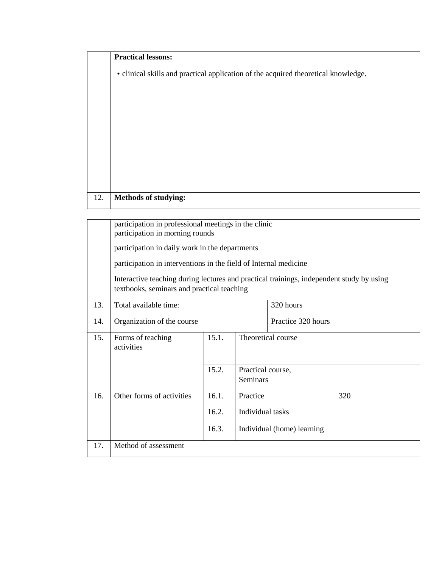|     | <b>Practical lessons:</b>                                                          |
|-----|------------------------------------------------------------------------------------|
|     | • clinical skills and practical application of the acquired theoretical knowledge. |
|     |                                                                                    |
|     |                                                                                    |
|     |                                                                                    |
|     |                                                                                    |
|     |                                                                                    |
|     |                                                                                    |
|     |                                                                                    |
|     |                                                                                    |
| 12. | <b>Methods of studying:</b>                                                        |

|     | participation in professional meetings in the clinic<br>participation in morning rounds                                                |       |                                      |                            |     |
|-----|----------------------------------------------------------------------------------------------------------------------------------------|-------|--------------------------------------|----------------------------|-----|
|     | participation in daily work in the departments                                                                                         |       |                                      |                            |     |
|     | participation in interventions in the field of Internal medicine                                                                       |       |                                      |                            |     |
|     | Interactive teaching during lectures and practical trainings, independent study by using<br>textbooks, seminars and practical teaching |       |                                      |                            |     |
| 13. | Total available time:                                                                                                                  |       |                                      | 320 hours                  |     |
| 14. | Organization of the course                                                                                                             |       |                                      | Practice 320 hours         |     |
| 15. | Forms of teaching<br>activities                                                                                                        | 15.1. | Theoretical course                   |                            |     |
|     |                                                                                                                                        | 15.2. | Practical course,<br><b>Seminars</b> |                            |     |
| 16. | Other forms of activities                                                                                                              | 16.1. | Practice                             |                            | 320 |
|     |                                                                                                                                        | 16.2. | Individual tasks                     |                            |     |
|     |                                                                                                                                        | 16.3. |                                      | Individual (home) learning |     |
| 17. | Method of assessment                                                                                                                   |       |                                      |                            |     |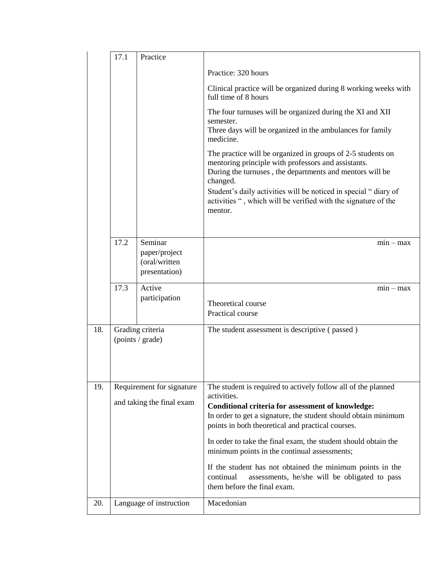|                                             | 17.1 | Practice                                                   |                                                                                                                                                                                                                                                          |
|---------------------------------------------|------|------------------------------------------------------------|----------------------------------------------------------------------------------------------------------------------------------------------------------------------------------------------------------------------------------------------------------|
|                                             |      |                                                            | Practice: 320 hours                                                                                                                                                                                                                                      |
|                                             |      |                                                            | Clinical practice will be organized during 8 working weeks with<br>full time of 8 hours                                                                                                                                                                  |
|                                             |      |                                                            | The four turnuses will be organized during the XI and XII<br>semester.<br>Three days will be organized in the ambulances for family<br>medicine.                                                                                                         |
|                                             |      |                                                            | The practice will be organized in groups of 2-5 students on<br>mentoring principle with professors and assistants.<br>During the turnuses, the departments and mentors will be<br>changed.                                                               |
|                                             |      |                                                            | Student's daily activities will be noticed in special "diary of<br>activities ", which will be verified with the signature of the<br>mentor.                                                                                                             |
|                                             | 17.2 | Seminar<br>paper/project<br>(oral/written<br>presentation) | $min - max$                                                                                                                                                                                                                                              |
|                                             | 17.3 | Active<br>participation                                    | $min - max$<br>Theoretical course<br>Practical course                                                                                                                                                                                                    |
| Grading criteria<br>18.<br>(points / grade) |      |                                                            | The student assessment is descriptive (passed)                                                                                                                                                                                                           |
| 19.                                         |      | Requirement for signature<br>and taking the final exam     | The student is required to actively follow all of the planned<br>activities.<br>Conditional criteria for assessment of knowledge:<br>In order to get a signature, the student should obtain minimum<br>points in both theoretical and practical courses. |
|                                             |      |                                                            | In order to take the final exam, the student should obtain the<br>minimum points in the continual assessments;                                                                                                                                           |
|                                             |      |                                                            | If the student has not obtained the minimum points in the<br>assessments, he/she will be obligated to pass<br>continual<br>them before the final exam.                                                                                                   |
| 20.                                         |      | Language of instruction                                    | Macedonian                                                                                                                                                                                                                                               |